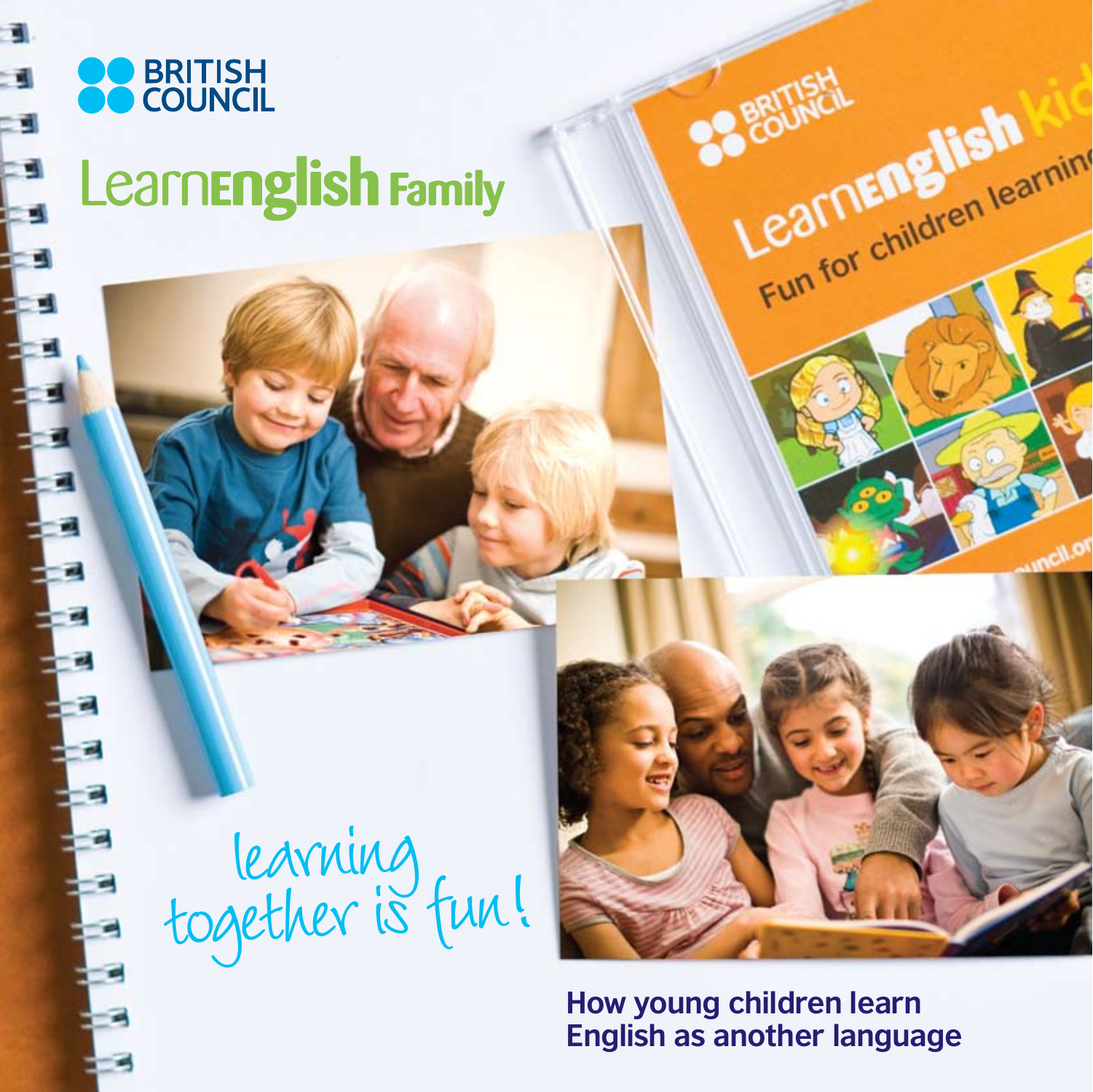

### **BRITISH<br>COUNCIL** Learn**English Family**

learning, together is fun!

**How young children learn English as another language** 

Partial Learning

**BRITISH**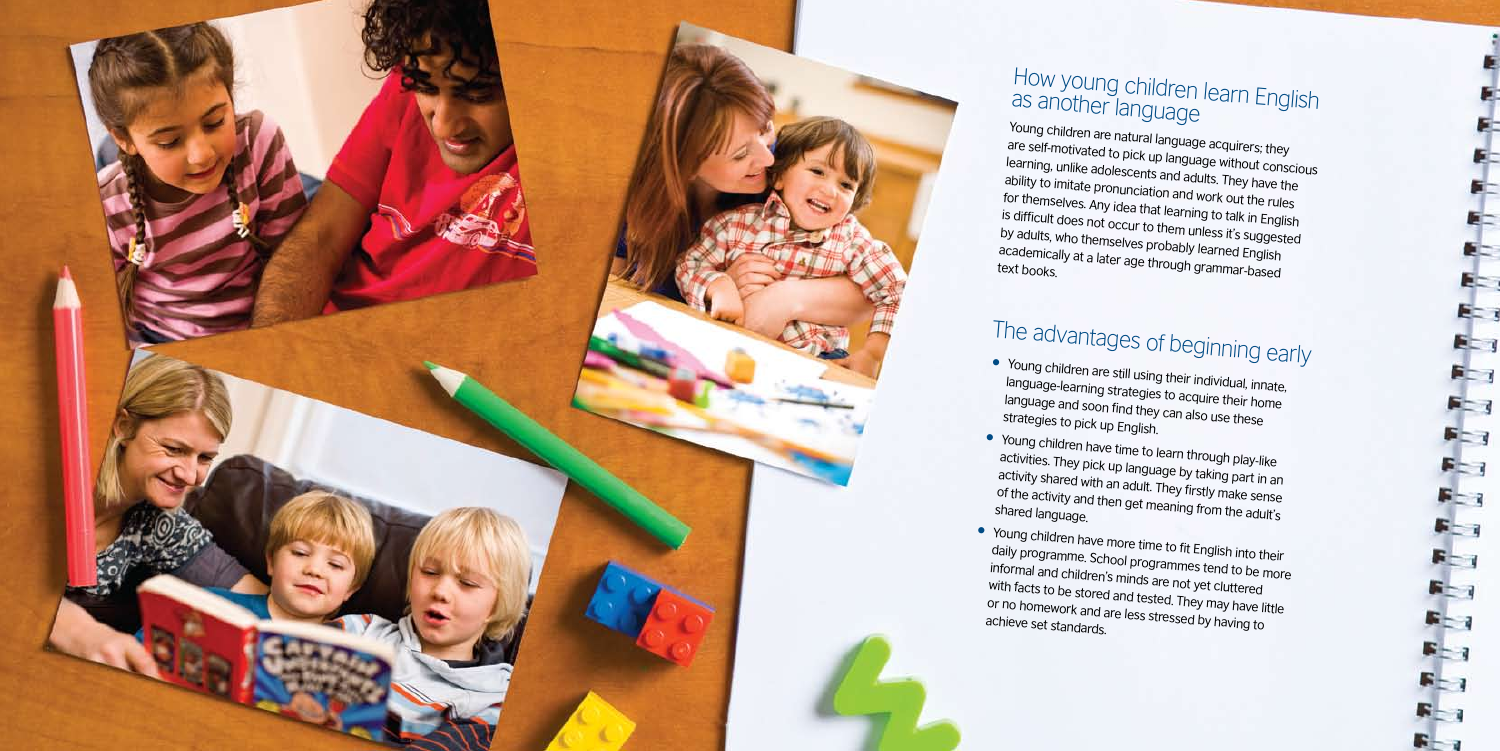

## as another language

Young children are natural language acquirers; they are self-motivated to pick up language without conscious learning, unlike adolescents and adults. They have the ability to imitate pronunciation and work out the rules for themselves. Any idea that learning to talk in English is difficult does not occur to them unless it's suggested by adults, who themselves probably learned English academically at a later age through grammar-based text books.

activity shared with an adult. They firstly make sense<br>of the activity and then get meaning from the adult's<br>shared languane of the activity and then get meaning from the adult's shared language.

with facts to be stored and tested. They may have little<br>or no homework and are less stressed by having to<br>achieve set standards

language-learning strategies to acquire their home language and soon find they can also use these

- Young children are still using their individual, innate, strategies to pick up English.
- Young children have time to learn through play-like activities. They pick up language by taking part in an
- Young children have more time to fit English into their daily programme. School programmes tend to be more informal and children's minds are not yet cluttered or no homework and are less stressed by having to achieve set standards.

# How young children learn English<br><sup>as another language</sup>

## The advantages of beginning early

Æ

E- 1

E= 3

 $E_{-1}$ 

 $F - 1$ 

 $F = 7$ 

 $F - 1$ 

F 200

 $F = 3$ 

 $F - 3$ 

 $F - 1$ 

 $F - 1$ 

**Rep** 

 $F-1$ 

 $F_{-1}$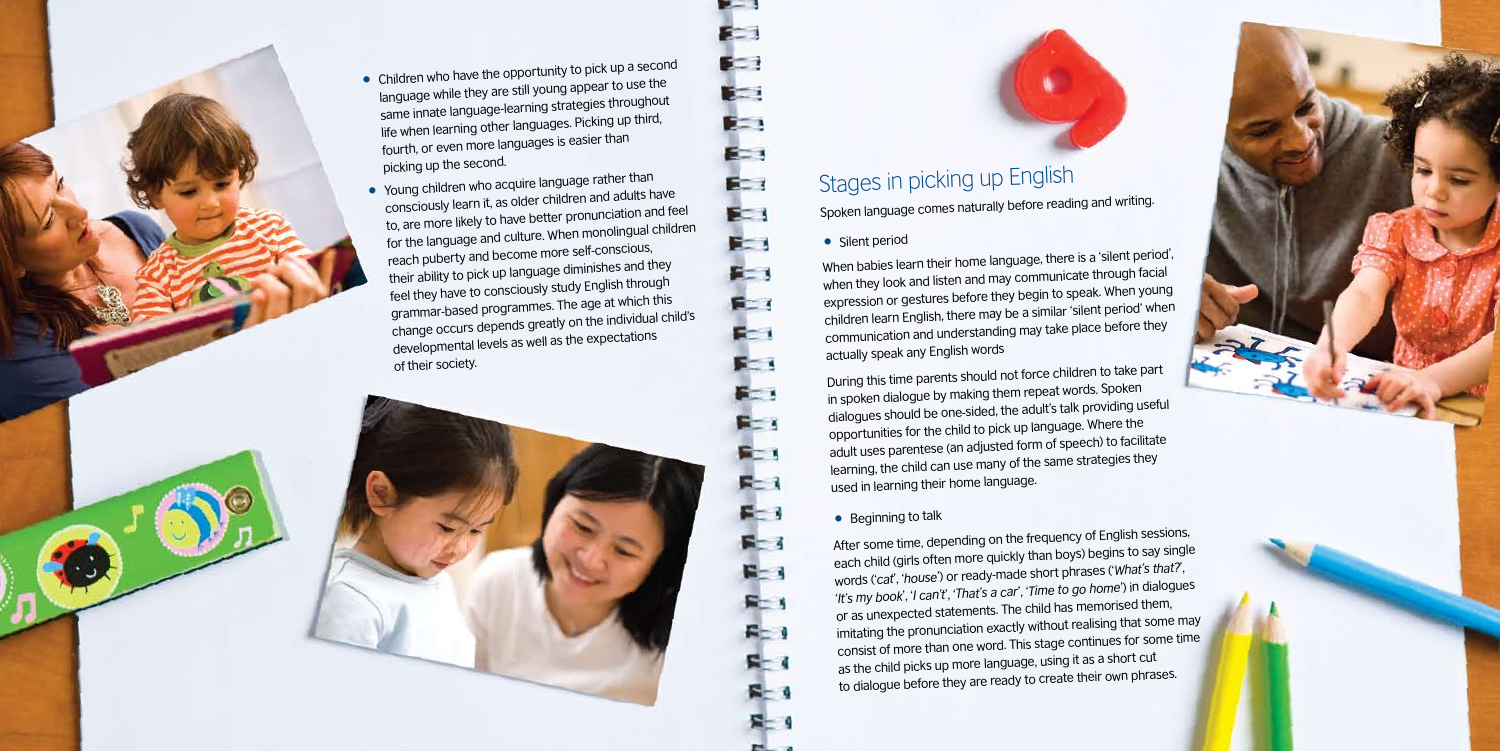

- language while they are still young appear to use the same innate language-learning strategies throughout life when learning other languages. Picking up third, fourth, or even more languages is easier than picking up the second.
- Young children who acquire language rather than consciously learn it, as older children and adults have to, are more likely to have better pronunciation and feel for the language and culture. When monolingual children reach puberty and become more self-conscious, their ability to pick up language diminishes and they feel they have to consciously study English through grammar-based programmes. The age at which this change occurs depends greatly on the individual child's developmental levels as well as the expectations of their society.



### Stages in picking up English

Spoken language comes naturally before reading and writing.

• Silent period

F E

医二

**Beat** 

**Beat** 

**Best** 

 $E - 1$ 

E.

 $F - I$ 

医工

F.

**Bit 1** 

**Post** 

 $F = 1$ 

**REA** 

長士 1

 $F - 1$ 

 $F - 1$ 

 $F-3$ 

 $F - 1$ 

 $F = 1$ 

 $F = 1$ 

 $F - 1$ 

 $R - 1$ 

是

When babies learn their home language, there is a 'silent period', when they look and listen and may communicate through facial expression or gestures before they begin to speak. When young children learn English, there may be a similar 'silent period' when communication and understanding may take place before they actually speak any English words

During this time parents should not force children to take part in spoken dialogue by making them repeat words. Spoken dialogues should be one-sided, the adult's talk providing useful opportunities for the child to pick up language. Where the adult uses parentese (an adjusted form of speech) to facilitate learning, the child can use many of the same strategies they used in learning their home language.

#### • Beginning to talk

After some time, depending on the frequency of English sessions, each child (girls often more quickly than boys) begins to say single words ('*cat*', '*house*') or ready-made short phrases ('*What's that?*', '*It's my book*', '*I can't*', '*That's a car*', '*Time to go home*') in dialogues or as unexpected statements. The child has memorised them, imitating the pronunciation exactly without realising that some may consist of more than one word. This stage continues for some time as the child picks up more language, using it as a short cut to dialogue before they are ready to create their own phrases.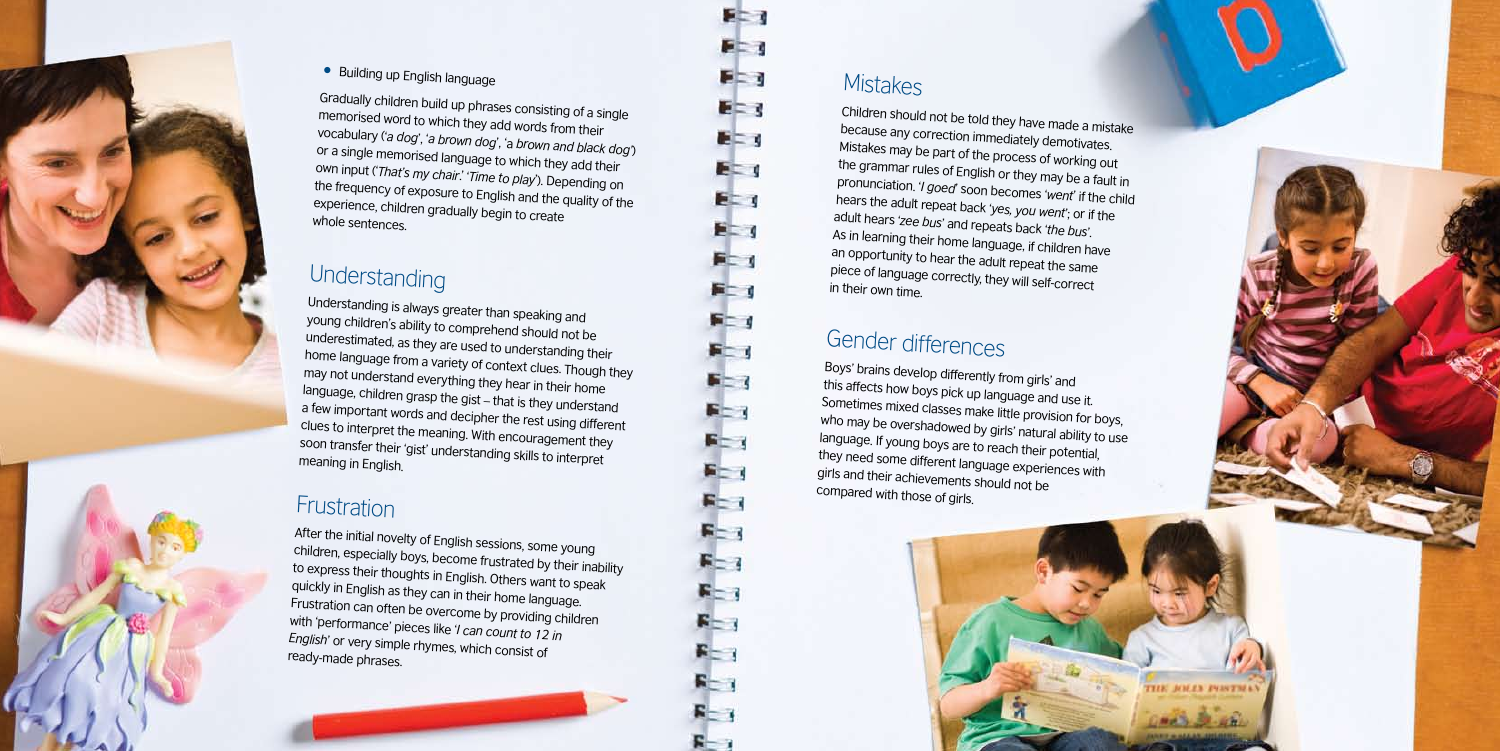Children should not be told they have made a mistake because any correction immediately demotivates. Mistakes may be part of the process of working out the grammar rules of English or they may be a fault in pronunciation. '*I goed*' soon becomes ' *went*' if the child hears the adult repeat back ' *yes, you went*'; or if the adult hears '*zee bus*' and repeats back ' *the bus*'. As in learning their home language, if children have an opportunity to hear the adult repeat the same piece of language correctly, they will self-correct in their own time.

### Gender differences

Boys' brains develop differently from girls' and this affects how boys pick up language and use it. Sometimes mixed classes make little provision for boys, who may be overshadowed by girls' natural ability to use language. If young boys are to reach their potential, they need some different language experiences with girls and their achievements should not be compared with those of girls.





• Building up English language

Gradually children build up phrases consisting of a single memorised word to which they add words from their vocabulary ('*a dog*', '*a brown dog*', 'a *brown and black dog'* ) or a single memorised language to which they add their own input ('*That's my chair*.' '*Time to play*'). Depending on the frequency of exposure to English and the quality of the experience, children gradually begin to create whole sentences.

#### Understanding

Understanding is always greater than speaking and young children's ability to comprehend should not be underestimated, as they are used to understanding their home language from a variety of context clues. Though they may not understand everything they hear in their home language, children grasp the gist – that is they understand a few important words and decipher the rest using different clues to interpret the meaning. With encouragement they soon transfer their 'gist' understanding skills to interpret meaning in English.

#### Frustration

After the initial novelty of English sessions, some young children, especially boys, become frustrated by their inability to express their thoughts in English. Others want to speak quickly in English as they can in their home language. Frustration can often be overcome by providing children with 'performance' pieces like '*I can count to 12 in English*' or very simple rhymes, which consist of ready-made phrases.

### **Mistakes**

**F-1** 

 $F = 1$ 

 $F = 1$ 

E= 3

**EL 1** 

**E** 

E= 1

 $F - 1$ 

后二 1

**FL 1** 

 $F - 1$ 

F - 1

 $F - 3$ 

 $F = 3$ 

 $F - 3$ 

5-1

 $F-1$ 

 $F-3$ 

 $F - 1$ 

 $F = 7$ 

 $F - 1$ 

 $F - 1$ 

 $F-1$ 

 $F - 3$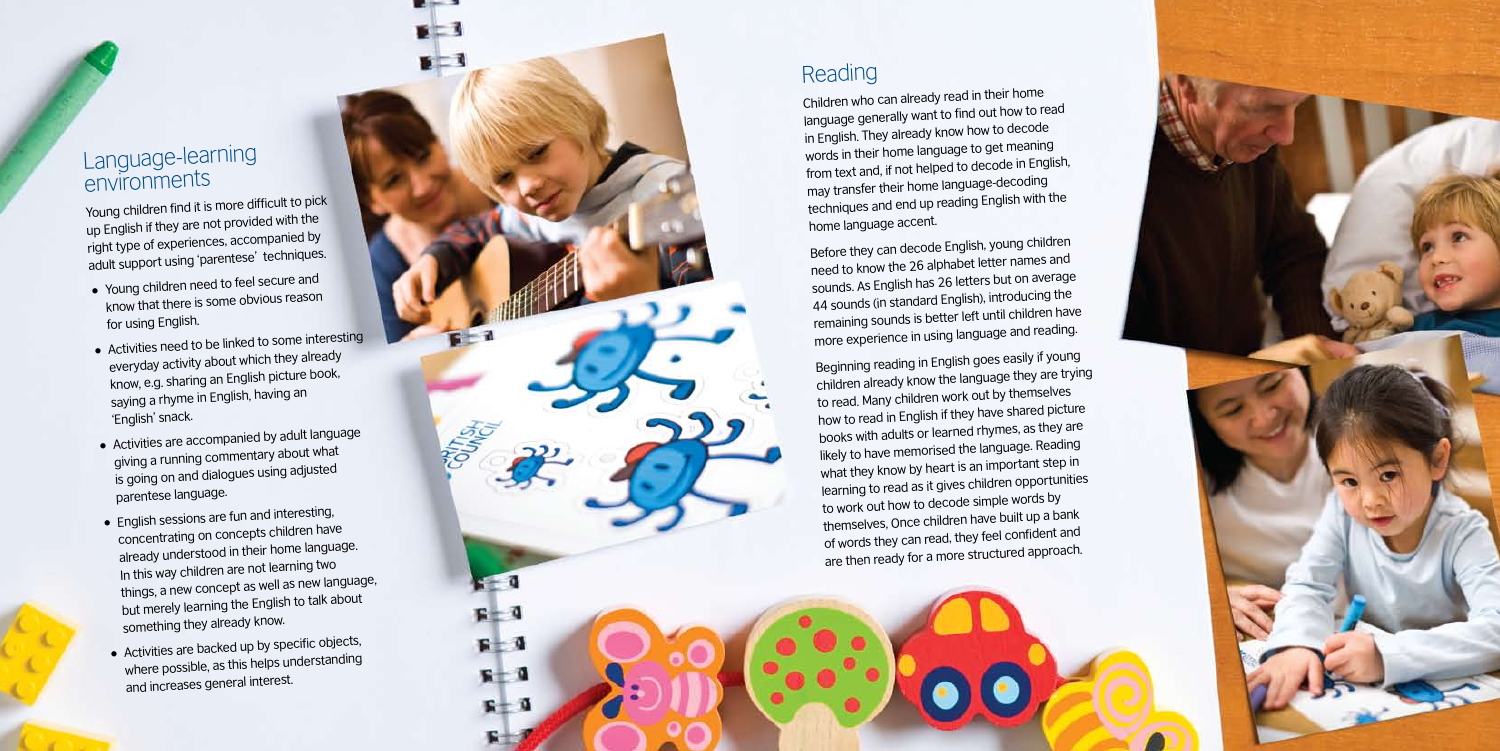

#### Language-learning environments

Young children find it is more difficult to pick up English if they are not provided with the right type of experiences, accompanied by adult support using 'parentese' techniques.

 $F = 1$ 

 $F<sub>1</sub>$ 

 $\mathbf{r} = \mathbf{0}$ 

 $F - 1$ 

 $F = 0$ 

 $F - 1$ 

 $R + 1$ 

长

- Young children need to feel secure an<sup>d</sup> know that there is some obvious reason for using English.
- Activities need to be linked to some interesting everyday activity about which they already know, e.g. sharing an English picture book, saying a rhyme in English, having an 'English' snack.
- Activities are accompanied by adult language giving a running commentary about what is going on and dialogues using adjusted parentese language.
- English sessions are fun and interesting, concentrating on concepts children have already understood in their home language. In this way children are not learning two things, a new concept as well as new language, but merely learning the English to talk about something they already know.
- Activities are backed up by specific objects, where possible, as this helps understanding and increases general interest.

#### Reading

Children who can already read in their home language generally want to find out how to rea<sup>d</sup> in English. They already know how to decode words in their home language to get meaning from text and, if not helped to decode in English, may transfer their home language-decoding techniques and end up reading English with the home language accent.

Before they can decode English, young children need to know the 26 alphabet letter names an<sup>d</sup> sounds. As English has 26 letters but on average 44 sounds (in standard English), introducing the remaining sounds is better left until children have more experience in using language and reading.

Beginning reading in English goes easily if young children already know the language they are trying to read. Many children work out by themselves how to read in English if they have shared picture books with adults or learned rhymes, as they are likely to have memorised the language. Reading what they know by heart is an important step in learning to read as it gives children opportunities to work out how to decode simple words by themselves, Once children have built up a bank of words they can read, they feel confident and are then ready for a more structured approach.

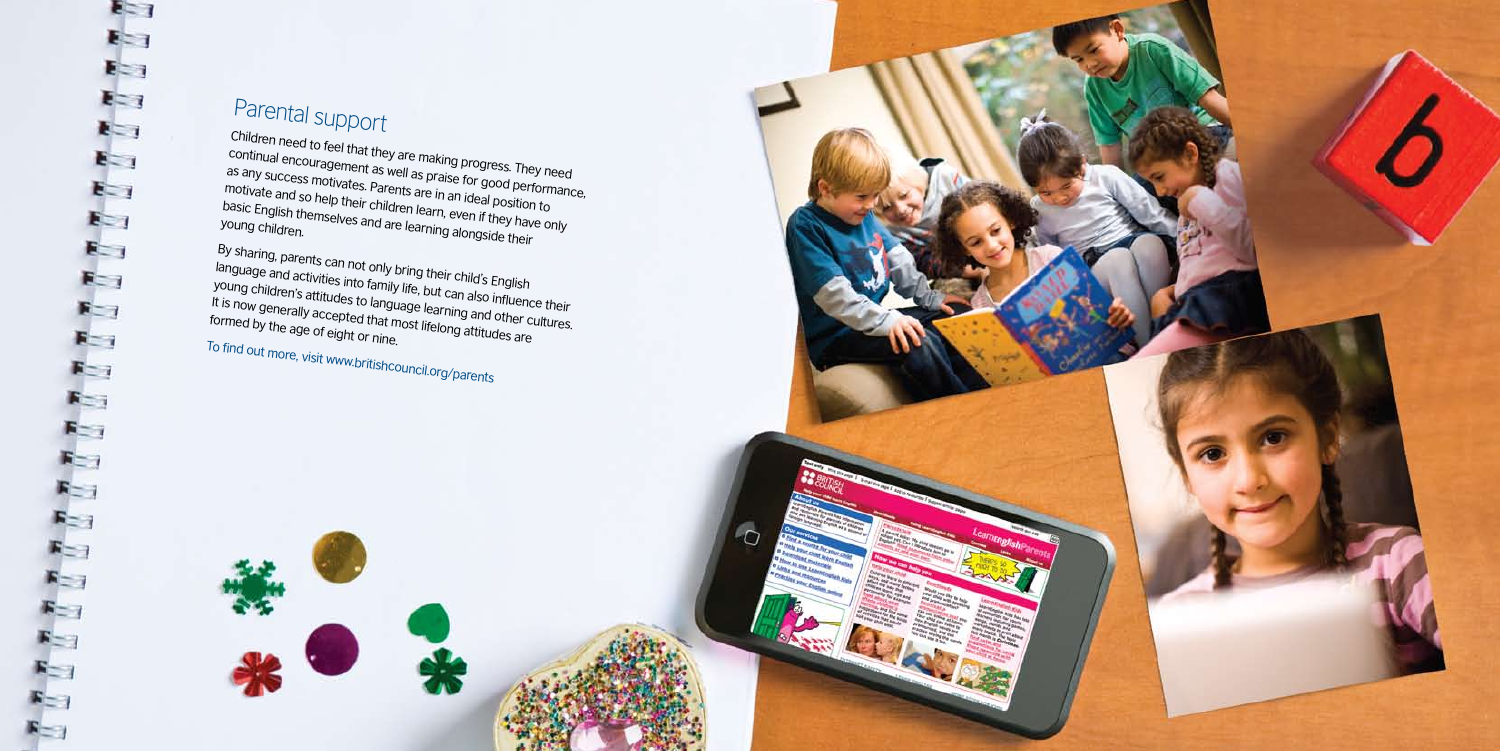### Parental support

Children need to feel that they are making progress. They need continual encouragement as well as praise for good performance, as any success motivates. Parents are in an ideal position to motivate and so help their children learn, even if they have only<br>basic English themselves and are learn, even if they have only<br>young children. basic English themselves and are learning alongside their

By sharing, parents can not only bring their child's English language and activities into family life, but can also influence their<br>young children's attitudes to language learning and other cultures.<br>It is now generally accepted that most lifelong attitudes are<br>formed by the age of young children's attitudes to language learning and other cultures. It is now generally accepted that most lifelong and other continuence formed by the age of eight or nine. To find out more, visit www.britishcouncil.org/parents